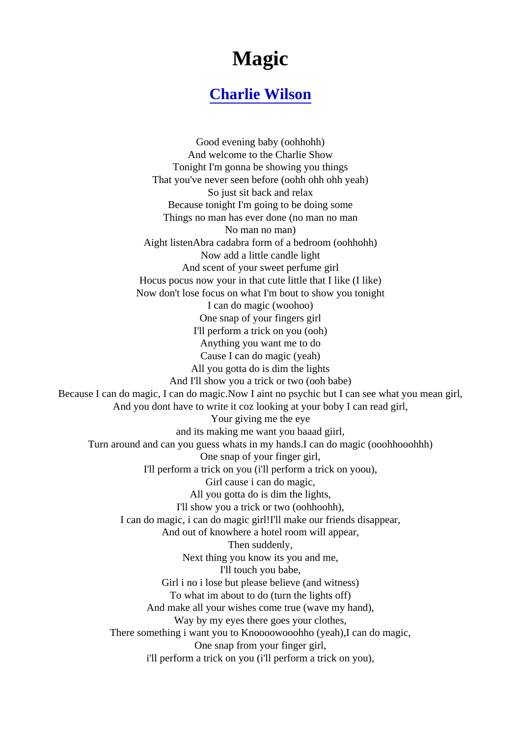## Magic

## [Charlie Wilson](http://www.1songlyrics.com/search.html?q=Charlie+Wilson)

Good evening baby (oohhohh) And welcome to the Charlie Show Tonight I'm gonna be showing you things That you've never seen before (oohh ohh ohh yeah) So just sit back and relax Because tonight I'm going to be doing some Things no man has ever done (no man no man No man no man) Aight listenAbra cadabra form of a bedroom (oohhohh) Now add a little candle light And scent of your sweet perfume girl Hocus pocus now your in that cute little that I like (I like) Now don't lose focus on what I'm bout to show you tonight I can do magic (woohoo) One snap of your fingers girl I'll perform a trick on you (ooh) Anything you want me to do Cause I can do magic (yeah) All you gotta do is dim the lights And I'll show you a trick or two (ooh babe) Because I can do magic, I can do magic.Now I aint no psychic but I can see what your mean And you dont have to write it coz looking at your boby I can read girl, Your giving me the eye and its making me want you baaad giirl, Turn around and can you guess whats in my hands.I can do magic (ooohhooohhh) One snap of your finger girl, I'll perform a trick on you (i'll perform a trick on yoou), Girl cause i can do magic, All you gotta do is dim the lights, I'll show you a trick or two (oohhoohh), I can do magic, i can do magic girl!I'll make our friends disappear, And out of knowhere a hotel room will appear, Then suddenly, Next thing you know its you and me, I'll touch you babe, Girl i no i lose but please believe (and witness) To what im about to do (turn the lights off) And make all your wishes come true (wave my hand), Way by my eyes there goes your clothes, There something i want you to Knoooowooohho (yeah),I can do magic, One snap from your finger girl, i'll perform a trick on you (i'll perform a trick on you),